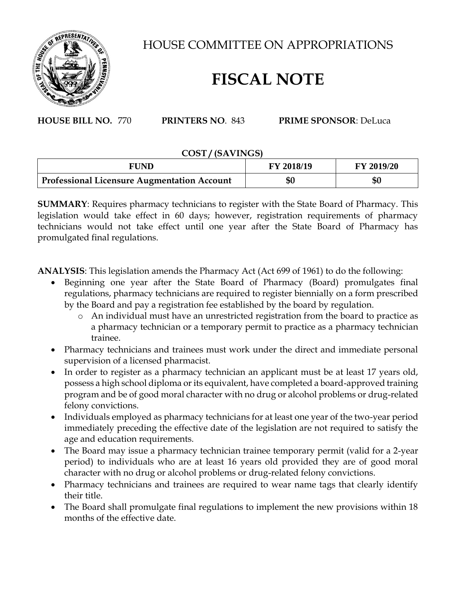

HOUSE COMMITTEE ON APPROPRIATIONS

## **FISCAL NOTE**

**HOUSE BILL NO.** 770 **PRINTERS NO**. 843 **PRIME SPONSOR**: DeLuca

## **COST / (SAVINGS)**

| FUND                                               | <b>FY 2018/19</b> | <b>FY 2019/20</b> |
|----------------------------------------------------|-------------------|-------------------|
| <b>Professional Licensure Augmentation Account</b> | \$0               | \$0               |

**SUMMARY**: Requires pharmacy technicians to register with the State Board of Pharmacy. This legislation would take effect in 60 days; however, registration requirements of pharmacy technicians would not take effect until one year after the State Board of Pharmacy has promulgated final regulations.

**ANALYSIS**: This legislation amends the Pharmacy Act (Act 699 of 1961) to do the following:

- Beginning one year after the State Board of Pharmacy (Board) promulgates final regulations, pharmacy technicians are required to register biennially on a form prescribed by the Board and pay a registration fee established by the board by regulation.
	- o An individual must have an unrestricted registration from the board to practice as a pharmacy technician or a temporary permit to practice as a pharmacy technician trainee.
- Pharmacy technicians and trainees must work under the direct and immediate personal supervision of a licensed pharmacist.
- In order to register as a pharmacy technician an applicant must be at least 17 years old, possess a high school diploma or its equivalent, have completed a board-approved training program and be of good moral character with no drug or alcohol problems or drug-related felony convictions.
- Individuals employed as pharmacy technicians for at least one year of the two-year period immediately preceding the effective date of the legislation are not required to satisfy the age and education requirements.
- The Board may issue a pharmacy technician trainee temporary permit (valid for a 2-year period) to individuals who are at least 16 years old provided they are of good moral character with no drug or alcohol problems or drug-related felony convictions.
- Pharmacy technicians and trainees are required to wear name tags that clearly identify their title.
- The Board shall promulgate final regulations to implement the new provisions within 18 months of the effective date.